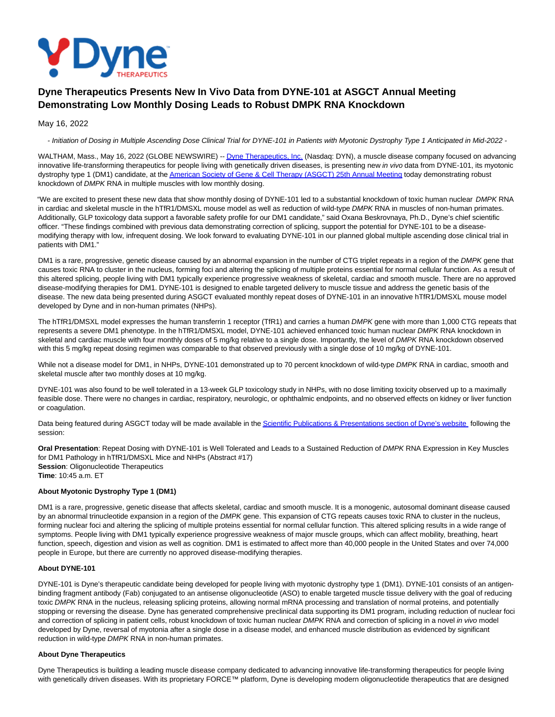

# **Dyne Therapeutics Presents New In Vivo Data from DYNE-101 at ASGCT Annual Meeting Demonstrating Low Monthly Dosing Leads to Robust DMPK RNA Knockdown**

May 16, 2022

- Initiation of Dosing in Multiple Ascending Dose Clinical Trial for DYNE-101 in Patients with Myotonic Dystrophy Type 1 Anticipated in Mid-2022 -

WALTHAM, Mass., May 16, 2022 (GLOBE NEWSWIRE) -[- Dyne Therapeutics, Inc. \(](https://www.globenewswire.com/Tracker?data=7AKzFNvw8KUrSAKYPfsz3JFmUFLEM5kvjJbFw9CjJcI_2mFS7ZwPwEsEEyNGJhX5MARfb3mhruUVBZn4Im_yfaNjcrpKUyyUJscAUmoQgAM=)Nasdaq: DYN), a muscle disease company focused on advancing innovative life-transforming therapeutics for people living with genetically driven diseases, is presenting new in vivo data from DYNE-101, its myotonic dystrophy type 1 (DM1) candidate, at th[e American Society of Gene & Cell Therapy \(ASGCT\) 25th Annual Meeting t](https://www.globenewswire.com/Tracker?data=0rNIvhuDCtLGxGwYPlWvM8hnrThpvLogirM2Na3sLii1OlDJu6ClHV9XgVnhWmTga_qJPeM1L3_XmoAAr3jTNiZ2QTBmL073Zs-gEXiNKfPTkFNpOvjjszXmB-L8n5VvR5eXptCdnQXF_O7fZ1bwWdKladZv_IOYLxTKl-I7qMg=)oday demonstrating robust knockdown of DMPK RNA in multiple muscles with low monthly dosing.

"We are excited to present these new data that show monthly dosing of DYNE-101 led to a substantial knockdown of toxic human nuclear DMPK RNA in cardiac and skeletal muscle in the hTfR1/DMSXL mouse model as well as reduction of wild-type DMPK RNA in muscles of non-human primates. Additionally, GLP toxicology data support a favorable safety profile for our DM1 candidate," said Oxana Beskrovnaya, Ph.D., Dyne's chief scientific officer. "These findings combined with previous data demonstrating correction of splicing, support the potential for DYNE-101 to be a diseasemodifying therapy with low, infrequent dosing. We look forward to evaluating DYNE-101 in our planned global multiple ascending dose clinical trial in patients with DM1."

DM1 is a rare, progressive, genetic disease caused by an abnormal expansion in the number of CTG triplet repeats in a region of the DMPK gene that causes toxic RNA to cluster in the nucleus, forming foci and altering the splicing of multiple proteins essential for normal cellular function. As a result of this altered splicing, people living with DM1 typically experience progressive weakness of skeletal, cardiac and smooth muscle. There are no approved disease-modifying therapies for DM1. DYNE-101 is designed to enable targeted delivery to muscle tissue and address the genetic basis of the disease. The new data being presented during ASGCT evaluated monthly repeat doses of DYNE-101 in an innovative hTfR1/DMSXL mouse model developed by Dyne and in non-human primates (NHPs).

The hTfR1/DMSXL model expresses the human transferrin 1 receptor (TfR1) and carries a human DMPK gene with more than 1,000 CTG repeats that represents a severe DM1 phenotype. In the hTfR1/DMSXL model, DYNE-101 achieved enhanced toxic human nuclear DMPK RNA knockdown in skeletal and cardiac muscle with four monthly doses of 5 mg/kg relative to a single dose. Importantly, the level of DMPK RNA knockdown observed with this 5 mg/kg repeat dosing regimen was comparable to that observed previously with a single dose of 10 mg/kg of DYNE-101.

While not a disease model for DM1, in NHPs, DYNE-101 demonstrated up to 70 percent knockdown of wild-type DMPK RNA in cardiac, smooth and skeletal muscle after two monthly doses at 10 mg/kg.

DYNE-101 was also found to be well tolerated in a 13-week GLP toxicology study in NHPs, with no dose limiting toxicity observed up to a maximally feasible dose. There were no changes in cardiac, respiratory, neurologic, or ophthalmic endpoints, and no observed effects on kidney or liver function or coagulation.

Data being featured during ASGCT today will be made available in th[e Scientific Publications & Presentations section of Dyne's website f](https://www.globenewswire.com/Tracker?data=v-k5YC5tEow-MUHvH-4T14Ew5SkpotZD9EPrArhUM4KJDVvg1zbN4q4eMJcYwR2qMdN3bbK7N75thepYFfd6e-FTEeH8KZrrJt4jCfGFzm42a6EetHvlOXEZaRagfMDCOdVydEDAMmoeE2vFnT-uoSVeRP1T4JPhKrmJCY0WWipgelkParO8GuaSGDpu5OHg)ollowing the session:

**Oral Presentation**: Repeat Dosing with DYNE-101 is Well Tolerated and Leads to a Sustained Reduction of DMPK RNA Expression in Key Muscles for DM1 Pathology in hTfR1/DMSXL Mice and NHPs (Abstract #17) **Session**: Oligonucleotide Therapeutics **Time**: 10:45 a.m. ET

# **About Myotonic Dystrophy Type 1 (DM1)**

DM1 is a rare, progressive, genetic disease that affects skeletal, cardiac and smooth muscle. It is a monogenic, autosomal dominant disease caused by an abnormal trinucleotide expansion in a region of the DMPK gene. This expansion of CTG repeats causes toxic RNA to cluster in the nucleus, forming nuclear foci and altering the splicing of multiple proteins essential for normal cellular function. This altered splicing results in a wide range of symptoms. People living with DM1 typically experience progressive weakness of major muscle groups, which can affect mobility, breathing, heart function, speech, digestion and vision as well as cognition. DM1 is estimated to affect more than 40,000 people in the United States and over 74,000 people in Europe, but there are currently no approved disease-modifying therapies.

## **About DYNE-101**

DYNE-101 is Dyne's therapeutic candidate being developed for people living with myotonic dystrophy type 1 (DM1). DYNE-101 consists of an antigenbinding fragment antibody (Fab) conjugated to an antisense oligonucleotide (ASO) to enable targeted muscle tissue delivery with the goal of reducing toxic DMPK RNA in the nucleus, releasing splicing proteins, allowing normal mRNA processing and translation of normal proteins, and potentially stopping or reversing the disease. Dyne has generated comprehensive preclinical data supporting its DM1 program, including reduction of nuclear foci and correction of splicing in patient cells, robust knockdown of toxic human nuclear DMPK RNA and correction of splicing in a novel in vivo model developed by Dyne, reversal of myotonia after a single dose in a disease model, and enhanced muscle distribution as evidenced by significant reduction in wild-type DMPK RNA in non-human primates.

## **About Dyne Therapeutics**

Dyne Therapeutics is building a leading muscle disease company dedicated to advancing innovative life-transforming therapeutics for people living with genetically driven diseases. With its proprietary FORCE™ platform, Dyne is developing modern oligonucleotide therapeutics that are designed